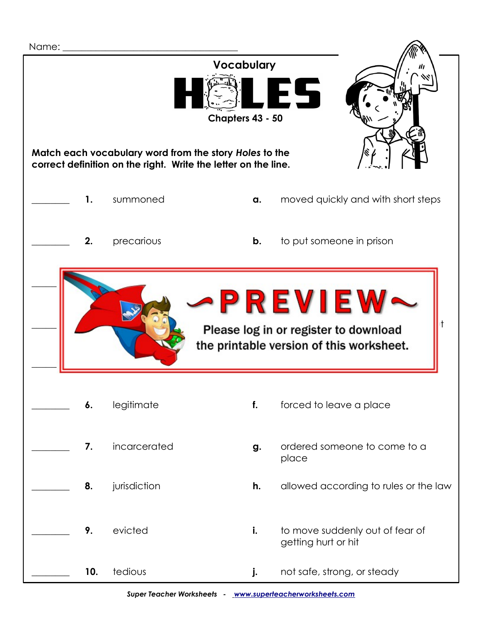